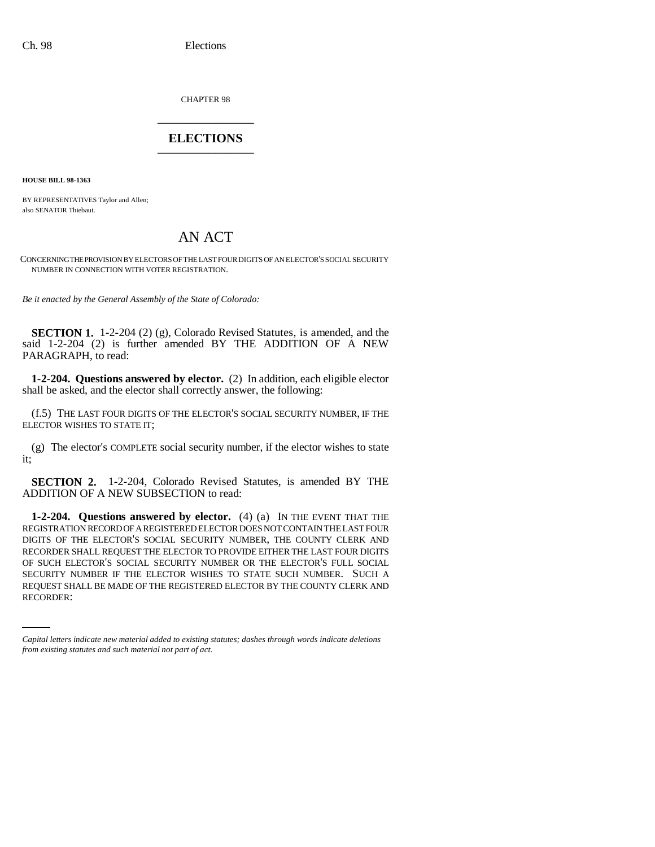CHAPTER 98 \_\_\_\_\_\_\_\_\_\_\_\_\_\_\_

## **ELECTIONS** \_\_\_\_\_\_\_\_\_\_\_\_\_\_\_

**HOUSE BILL 98-1363**

BY REPRESENTATIVES Taylor and Allen; also SENATOR Thiebaut.

## AN ACT

CONCERNING THE PROVISION BY ELECTORS OF THE LAST FOUR DIGITS OF AN ELECTOR'S SOCIAL SECURITY NUMBER IN CONNECTION WITH VOTER REGISTRATION.

*Be it enacted by the General Assembly of the State of Colorado:*

**SECTION 1.** 1-2-204 (2) (g), Colorado Revised Statutes, is amended, and the said 1-2-204 (2) is further amended BY THE ADDITION OF A NEW PARAGRAPH, to read:

**1-2-204. Questions answered by elector.** (2) In addition, each eligible elector shall be asked, and the elector shall correctly answer, the following:

(f.5) THE LAST FOUR DIGITS OF THE ELECTOR'S SOCIAL SECURITY NUMBER, IF THE ELECTOR WISHES TO STATE IT;

(g) The elector's COMPLETE social security number, if the elector wishes to state it;

**SECTION 2.** 1-2-204, Colorado Revised Statutes, is amended BY THE ADDITION OF A NEW SUBSECTION to read:

SECURITY NUMBER IF THE ELECTOR WISHES TO STATE SUCH NUMBER. SUCH A **1-2-204. Questions answered by elector.** (4) (a) IN THE EVENT THAT THE REGISTRATION RECORD OF A REGISTERED ELECTOR DOES NOT CONTAIN THE LAST FOUR DIGITS OF THE ELECTOR'S SOCIAL SECURITY NUMBER, THE COUNTY CLERK AND RECORDER SHALL REQUEST THE ELECTOR TO PROVIDE EITHER THE LAST FOUR DIGITS OF SUCH ELECTOR'S SOCIAL SECURITY NUMBER OR THE ELECTOR'S FULL SOCIAL REQUEST SHALL BE MADE OF THE REGISTERED ELECTOR BY THE COUNTY CLERK AND RECORDER:

*Capital letters indicate new material added to existing statutes; dashes through words indicate deletions from existing statutes and such material not part of act.*